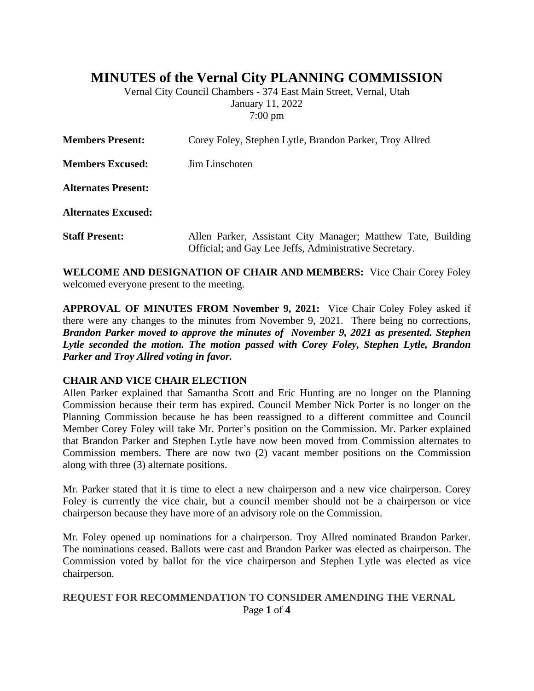# **MINUTES of the Vernal City PLANNING COMMISSION**

Vernal City Council Chambers - 374 East Main Street, Vernal, Utah January 11, 2022 7:00 pm

| <b>Members Present:</b>    | Corey Foley, Stephen Lytle, Brandon Parker, Troy Allred                                                                |
|----------------------------|------------------------------------------------------------------------------------------------------------------------|
| <b>Members Excused:</b>    | Jim Linschoten                                                                                                         |
| <b>Alternates Present:</b> |                                                                                                                        |
| <b>Alternates Excused:</b> |                                                                                                                        |
| <b>Staff Present:</b>      | Allen Parker, Assistant City Manager; Matthew Tate, Building<br>Official; and Gay Lee Jeffs, Administrative Secretary. |

**WELCOME AND DESIGNATION OF CHAIR AND MEMBERS:** Vice Chair Corey Foley welcomed everyone present to the meeting.

**APPROVAL OF MINUTES FROM November 9, 2021:** Vice Chair Coley Foley asked if there were any changes to the minutes from November 9, 2021. There being no corrections, *Brandon Parker moved to approve the minutes of November 9, 2021 as presented. Stephen Lytle seconded the motion. The motion passed with Corey Foley, Stephen Lytle, Brandon Parker and Troy Allred voting in favor.*

#### **CHAIR AND VICE CHAIR ELECTION**

Allen Parker explained that Samantha Scott and Eric Hunting are no longer on the Planning Commission because their term has expired. Council Member Nick Porter is no longer on the Planning Commission because he has been reassigned to a different committee and Council Member Corey Foley will take Mr. Porter's position on the Commission. Mr. Parker explained that Brandon Parker and Stephen Lytle have now been moved from Commission alternates to Commission members. There are now two (2) vacant member positions on the Commission along with three (3) alternate positions.

Mr. Parker stated that it is time to elect a new chairperson and a new vice chairperson. Corey Foley is currently the vice chair, but a council member should not be a chairperson or vice chairperson because they have more of an advisory role on the Commission.

Mr. Foley opened up nominations for a chairperson. Troy Allred nominated Brandon Parker. The nominations ceased. Ballots were cast and Brandon Parker was elected as chairperson. The Commission voted by ballot for the vice chairperson and Stephen Lytle was elected as vice chairperson.

### Page **1** of **4 REQUEST FOR RECOMMENDATION TO CONSIDER AMENDING THE VERNAL**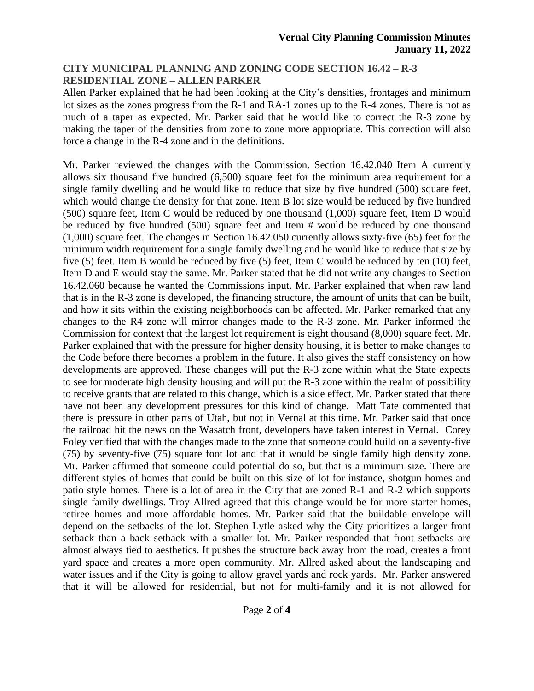# **CITY MUNICIPAL PLANNING AND ZONING CODE SECTION 16.42 – R-3 RESIDENTIAL ZONE – ALLEN PARKER**

Allen Parker explained that he had been looking at the City's densities, frontages and minimum lot sizes as the zones progress from the R-1 and RA-1 zones up to the R-4 zones. There is not as much of a taper as expected. Mr. Parker said that he would like to correct the R-3 zone by making the taper of the densities from zone to zone more appropriate. This correction will also force a change in the R-4 zone and in the definitions.

Mr. Parker reviewed the changes with the Commission. Section 16.42.040 Item A currently allows six thousand five hundred (6,500) square feet for the minimum area requirement for a single family dwelling and he would like to reduce that size by five hundred (500) square feet, which would change the density for that zone. Item B lot size would be reduced by five hundred (500) square feet, Item C would be reduced by one thousand (1,000) square feet, Item D would be reduced by five hundred (500) square feet and Item # would be reduced by one thousand (1,000) square feet. The changes in Section 16.42.050 currently allows sixty-five (65) feet for the minimum width requirement for a single family dwelling and he would like to reduce that size by five (5) feet. Item B would be reduced by five (5) feet, Item C would be reduced by ten (10) feet, Item D and E would stay the same. Mr. Parker stated that he did not write any changes to Section 16.42.060 because he wanted the Commissions input. Mr. Parker explained that when raw land that is in the R-3 zone is developed, the financing structure, the amount of units that can be built, and how it sits within the existing neighborhoods can be affected. Mr. Parker remarked that any changes to the R4 zone will mirror changes made to the R-3 zone. Mr. Parker informed the Commission for context that the largest lot requirement is eight thousand (8,000) square feet. Mr. Parker explained that with the pressure for higher density housing, it is better to make changes to the Code before there becomes a problem in the future. It also gives the staff consistency on how developments are approved. These changes will put the R-3 zone within what the State expects to see for moderate high density housing and will put the R-3 zone within the realm of possibility to receive grants that are related to this change, which is a side effect. Mr. Parker stated that there have not been any development pressures for this kind of change. Matt Tate commented that there is pressure in other parts of Utah, but not in Vernal at this time. Mr. Parker said that once the railroad hit the news on the Wasatch front, developers have taken interest in Vernal. Corey Foley verified that with the changes made to the zone that someone could build on a seventy-five (75) by seventy-five (75) square foot lot and that it would be single family high density zone. Mr. Parker affirmed that someone could potential do so, but that is a minimum size. There are different styles of homes that could be built on this size of lot for instance, shotgun homes and patio style homes. There is a lot of area in the City that are zoned R-1 and R-2 which supports single family dwellings. Troy Allred agreed that this change would be for more starter homes, retiree homes and more affordable homes. Mr. Parker said that the buildable envelope will depend on the setbacks of the lot. Stephen Lytle asked why the City prioritizes a larger front setback than a back setback with a smaller lot. Mr. Parker responded that front setbacks are almost always tied to aesthetics. It pushes the structure back away from the road, creates a front yard space and creates a more open community. Mr. Allred asked about the landscaping and water issues and if the City is going to allow gravel yards and rock yards. Mr. Parker answered that it will be allowed for residential, but not for multi-family and it is not allowed for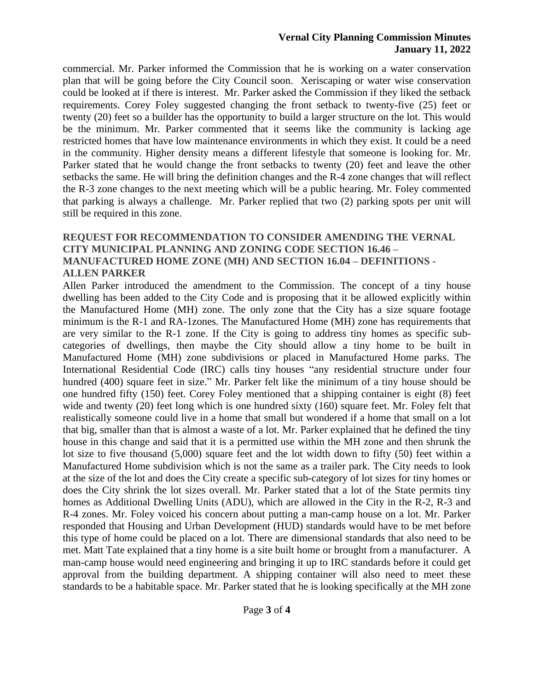#### **Vernal City Planning Commission Minutes January 11, 2022**

commercial. Mr. Parker informed the Commission that he is working on a water conservation plan that will be going before the City Council soon. Xeriscaping or water wise conservation could be looked at if there is interest. Mr. Parker asked the Commission if they liked the setback requirements. Corey Foley suggested changing the front setback to twenty-five (25) feet or twenty (20) feet so a builder has the opportunity to build a larger structure on the lot. This would be the minimum. Mr. Parker commented that it seems like the community is lacking age restricted homes that have low maintenance environments in which they exist. It could be a need in the community. Higher density means a different lifestyle that someone is looking for. Mr. Parker stated that he would change the front setbacks to twenty (20) feet and leave the other setbacks the same. He will bring the definition changes and the R-4 zone changes that will reflect the R-3 zone changes to the next meeting which will be a public hearing. Mr. Foley commented that parking is always a challenge. Mr. Parker replied that two (2) parking spots per unit will still be required in this zone.

# **REQUEST FOR RECOMMENDATION TO CONSIDER AMENDING THE VERNAL CITY MUNICIPAL PLANNING AND ZONING CODE SECTION 16.46 – MANUFACTURED HOME ZONE (MH) AND SECTION 16.04 – DEFINITIONS - ALLEN PARKER**

Allen Parker introduced the amendment to the Commission. The concept of a tiny house dwelling has been added to the City Code and is proposing that it be allowed explicitly within the Manufactured Home (MH) zone. The only zone that the City has a size square footage minimum is the R-1 and RA-1zones. The Manufactured Home (MH) zone has requirements that are very similar to the R-1 zone. If the City is going to address tiny homes as specific subcategories of dwellings, then maybe the City should allow a tiny home to be built in Manufactured Home (MH) zone subdivisions or placed in Manufactured Home parks. The International Residential Code (IRC) calls tiny houses "any residential structure under four hundred (400) square feet in size." Mr. Parker felt like the minimum of a tiny house should be one hundred fifty (150) feet. Corey Foley mentioned that a shipping container is eight (8) feet wide and twenty (20) feet long which is one hundred sixty (160) square feet. Mr. Foley felt that realistically someone could live in a home that small but wondered if a home that small on a lot that big, smaller than that is almost a waste of a lot. Mr. Parker explained that he defined the tiny house in this change and said that it is a permitted use within the MH zone and then shrunk the lot size to five thousand (5,000) square feet and the lot width down to fifty (50) feet within a Manufactured Home subdivision which is not the same as a trailer park. The City needs to look at the size of the lot and does the City create a specific sub-category of lot sizes for tiny homes or does the City shrink the lot sizes overall. Mr. Parker stated that a lot of the State permits tiny homes as Additional Dwelling Units (ADU), which are allowed in the City in the R-2, R-3 and R-4 zones. Mr. Foley voiced his concern about putting a man-camp house on a lot. Mr. Parker responded that Housing and Urban Development (HUD) standards would have to be met before this type of home could be placed on a lot. There are dimensional standards that also need to be met. Matt Tate explained that a tiny home is a site built home or brought from a manufacturer. A man-camp house would need engineering and bringing it up to IRC standards before it could get approval from the building department. A shipping container will also need to meet these standards to be a habitable space. Mr. Parker stated that he is looking specifically at the MH zone